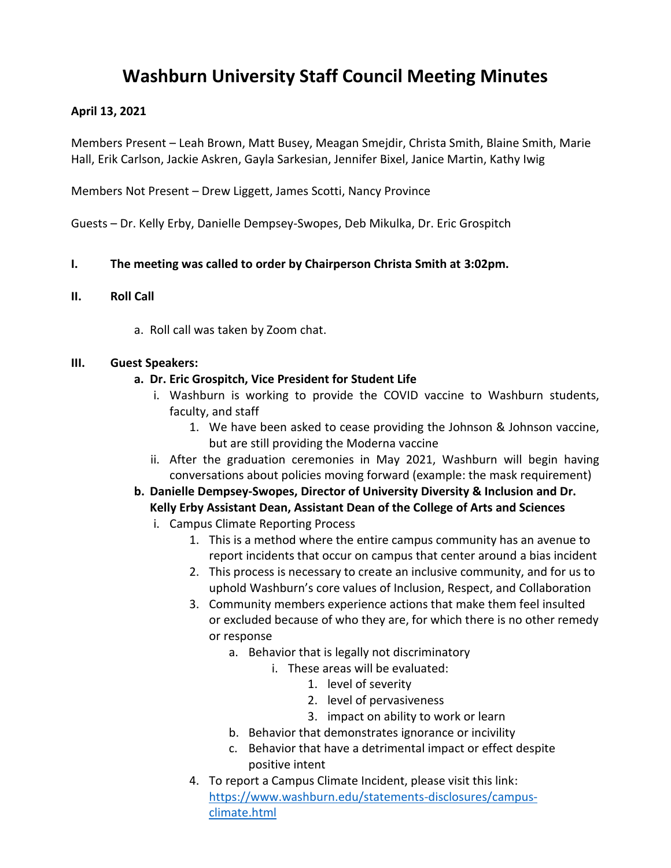# **Washburn University Staff Council Meeting Minutes**

### **April 13, 2021**

Members Present – Leah Brown, Matt Busey, Meagan Smejdir, Christa Smith, Blaine Smith, Marie Hall, Erik Carlson, Jackie Askren, Gayla Sarkesian, Jennifer Bixel, Janice Martin, Kathy Iwig

Members Not Present – Drew Liggett, James Scotti, Nancy Province

Guests – Dr. Kelly Erby, Danielle Dempsey-Swopes, Deb Mikulka, Dr. Eric Grospitch

## **I. The meeting was called to order by Chairperson Christa Smith at 3:02pm.**

#### **II. Roll Call**

a. Roll call was taken by Zoom chat.

#### **III. Guest Speakers:**

#### **a. Dr. Eric Grospitch, Vice President for Student Life**

- i. Washburn is working to provide the COVID vaccine to Washburn students, faculty, and staff
	- 1. We have been asked to cease providing the Johnson & Johnson vaccine, but are still providing the Moderna vaccine
- ii. After the graduation ceremonies in May 2021, Washburn will begin having conversations about policies moving forward (example: the mask requirement)
- **b. Danielle Dempsey-Swopes, Director of University Diversity & Inclusion and Dr. Kelly Erby Assistant Dean, Assistant Dean of the College of Arts and Sciences**
	- i. Campus Climate Reporting Process
		- 1. This is a method where the entire campus community has an avenue to report incidents that occur on campus that center around a bias incident
		- 2. This process is necessary to create an inclusive community, and for us to uphold Washburn's core values of Inclusion, Respect, and Collaboration
		- 3. Community members experience actions that make them feel insulted or excluded because of who they are, for which there is no other remedy or response
			- a. Behavior that is legally not discriminatory
				- i. These areas will be evaluated:
					- 1. level of severity
					- 2. level of pervasiveness
					- 3. impact on ability to work or learn
			- b. Behavior that demonstrates ignorance or incivility
			- c. Behavior that have a detrimental impact or effect despite positive intent
		- 4. To report a Campus Climate Incident, please visit this link: [https://www.washburn.edu/statements-disclosures/campus](https://www.washburn.edu/statements-disclosures/campus-climate.html)[climate.html](https://www.washburn.edu/statements-disclosures/campus-climate.html)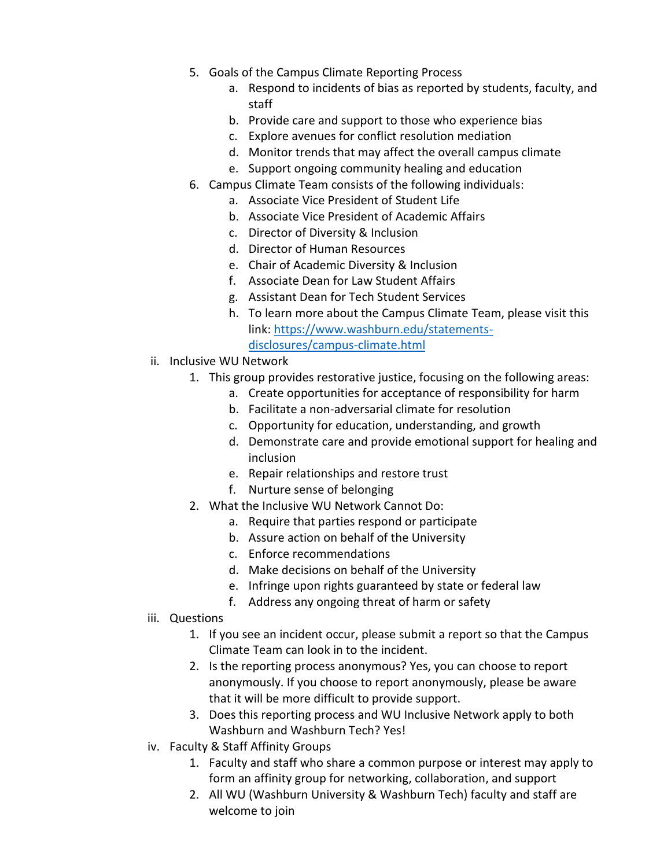- 5. Goals of the Campus Climate Reporting Process
	- a. Respond to incidents of bias as reported by students, faculty, and staff
	- b. Provide care and support to those who experience bias
	- c. Explore avenues for conflict resolution mediation
	- d. Monitor trends that may affect the overall campus climate
	- e. Support ongoing community healing and education
- 6. Campus Climate Team consists of the following individuals:
	- a. Associate Vice President of Student Life
	- b. Associate Vice President of Academic Affairs
	- c. Director of Diversity & Inclusion
	- d. Director of Human Resources
	- e. Chair of Academic Diversity & Inclusion
	- f. Associate Dean for Law Student Affairs
	- g. Assistant Dean for Tech Student Services
	- h. To learn more about the Campus Climate Team, please visit this link: [https://www.washburn.edu/statements](https://www.washburn.edu/statements-disclosures/campus-climate.html)[disclosures/campus-climate.html](https://www.washburn.edu/statements-disclosures/campus-climate.html)
- ii. Inclusive WU Network
	- 1. This group provides restorative justice, focusing on the following areas:
		- a. Create opportunities for acceptance of responsibility for harm
		- b. Facilitate a non-adversarial climate for resolution
		- c. Opportunity for education, understanding, and growth
		- d. Demonstrate care and provide emotional support for healing and inclusion
		- e. Repair relationships and restore trust
		- f. Nurture sense of belonging
	- 2. What the Inclusive WU Network Cannot Do:
		- a. Require that parties respond or participate
		- b. Assure action on behalf of the University
		- c. Enforce recommendations
		- d. Make decisions on behalf of the University
		- e. Infringe upon rights guaranteed by state or federal law
		- f. Address any ongoing threat of harm or safety
- iii. Questions
	- 1. If you see an incident occur, please submit a report so that the Campus Climate Team can look in to the incident.
	- 2. Is the reporting process anonymous? Yes, you can choose to report anonymously. If you choose to report anonymously, please be aware that it will be more difficult to provide support.
	- 3. Does this reporting process and WU Inclusive Network apply to both Washburn and Washburn Tech? Yes!
- iv. Faculty & Staff Affinity Groups
	- 1. Faculty and staff who share a common purpose or interest may apply to form an affinity group for networking, collaboration, and support
	- 2. All WU (Washburn University & Washburn Tech) faculty and staff are welcome to join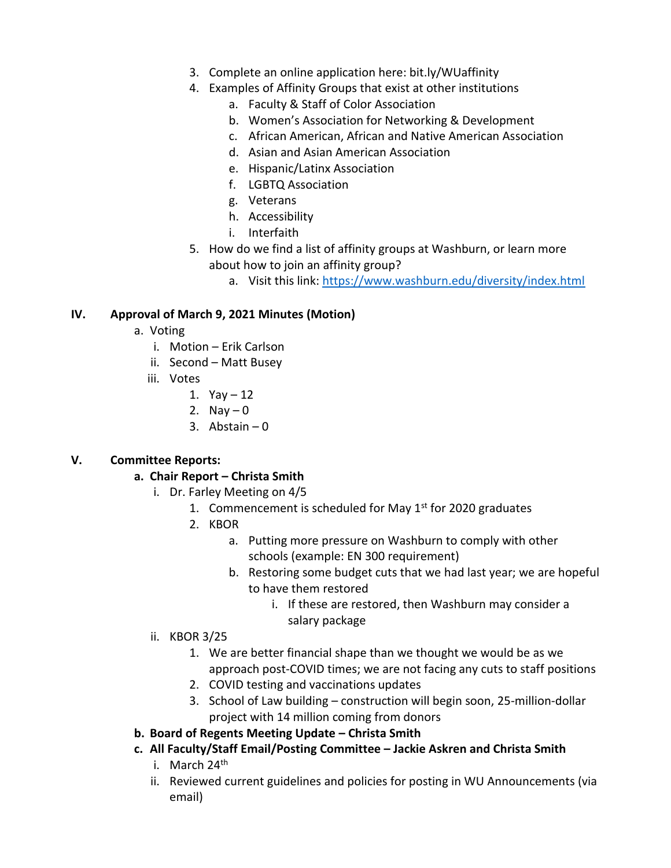- 3. Complete an online application here: bit.ly/WUaffinity
- 4. Examples of Affinity Groups that exist at other institutions
	- a. Faculty & Staff of Color Association
	- b. Women's Association for Networking & Development
	- c. African American, African and Native American Association
	- d. Asian and Asian American Association
	- e. Hispanic/Latinx Association
	- f. LGBTQ Association
	- g. Veterans
	- h. Accessibility
	- i. Interfaith
- 5. How do we find a list of affinity groups at Washburn, or learn more about how to join an affinity group?
	- a. Visit this link:<https://www.washburn.edu/diversity/index.html>

## **IV. Approval of March 9, 2021 Minutes (Motion)**

- a. Voting
	- i. Motion Erik Carlson
	- ii. Second Matt Busey
	- iii. Votes
		- 1.  $Yay 12$
		- 2. Nay  $-0$
		- 3. Abstain 0

## **V. Committee Reports:**

## **a. Chair Report – Christa Smith**

- i. Dr. Farley Meeting on 4/5
	- 1. Commencement is scheduled for May  $1<sup>st</sup>$  for 2020 graduates
	- 2. KBOR
		- a. Putting more pressure on Washburn to comply with other schools (example: EN 300 requirement)
		- b. Restoring some budget cuts that we had last year; we are hopeful to have them restored
			- i. If these are restored, then Washburn may consider a salary package
- ii. KBOR 3/25
	- 1. We are better financial shape than we thought we would be as we approach post-COVID times; we are not facing any cuts to staff positions
	- 2. COVID testing and vaccinations updates
	- 3. School of Law building construction will begin soon, 25-million-dollar project with 14 million coming from donors

# **b. Board of Regents Meeting Update – Christa Smith**

- **c. All Faculty/Staff Email/Posting Committee – Jackie Askren and Christa Smith**
	- i. March  $24<sup>th</sup>$
	- ii. Reviewed current guidelines and policies for posting in WU Announcements (via email)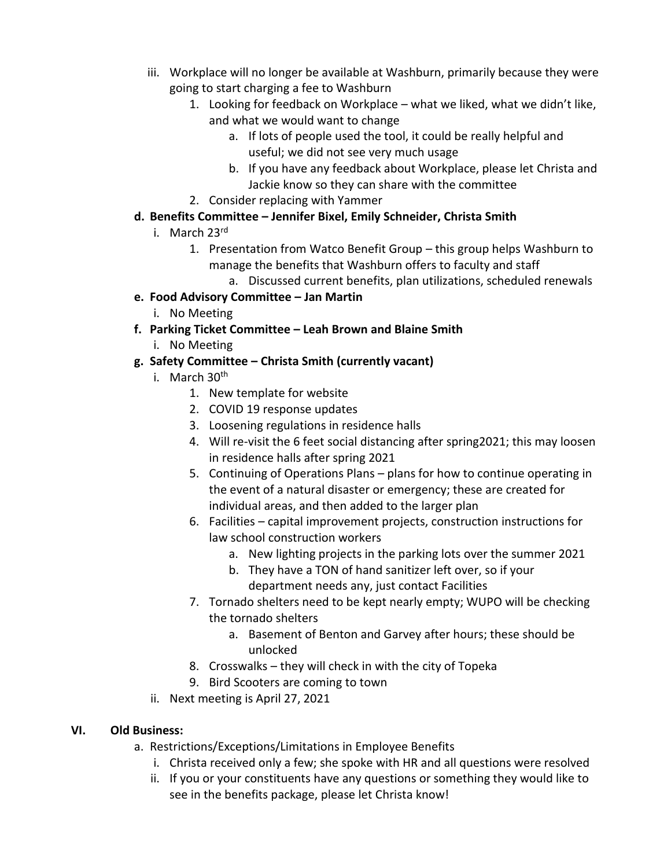- iii. Workplace will no longer be available at Washburn, primarily because they were going to start charging a fee to Washburn
	- 1. Looking for feedback on Workplace what we liked, what we didn't like, and what we would want to change
		- a. If lots of people used the tool, it could be really helpful and useful; we did not see very much usage
		- b. If you have any feedback about Workplace, please let Christa and Jackie know so they can share with the committee
	- 2. Consider replacing with Yammer
- **d. Benefits Committee – Jennifer Bixel, Emily Schneider, Christa Smith**
	- i. March 23rd
		- 1. Presentation from Watco Benefit Group this group helps Washburn to manage the benefits that Washburn offers to faculty and staff
			- a. Discussed current benefits, plan utilizations, scheduled renewals
- **e. Food Advisory Committee – Jan Martin**
	- i. No Meeting
- **f. Parking Ticket Committee – Leah Brown and Blaine Smith**
	- i. No Meeting

# **g. Safety Committee – Christa Smith (currently vacant)**

- i. March 30<sup>th</sup>
	- 1. New template for website
	- 2. COVID 19 response updates
	- 3. Loosening regulations in residence halls
	- 4. Will re-visit the 6 feet social distancing after spring2021; this may loosen in residence halls after spring 2021
	- 5. Continuing of Operations Plans plans for how to continue operating in the event of a natural disaster or emergency; these are created for individual areas, and then added to the larger plan
	- 6. Facilities capital improvement projects, construction instructions for law school construction workers
		- a. New lighting projects in the parking lots over the summer 2021
		- b. They have a TON of hand sanitizer left over, so if your department needs any, just contact Facilities
	- 7. Tornado shelters need to be kept nearly empty; WUPO will be checking the tornado shelters
		- a. Basement of Benton and Garvey after hours; these should be unlocked
	- 8. Crosswalks they will check in with the city of Topeka
	- 9. Bird Scooters are coming to town
- ii. Next meeting is April 27, 2021

## **VI. Old Business:**

- a. Restrictions/Exceptions/Limitations in Employee Benefits
	- i. Christa received only a few; she spoke with HR and all questions were resolved
	- ii. If you or your constituents have any questions or something they would like to see in the benefits package, please let Christa know!